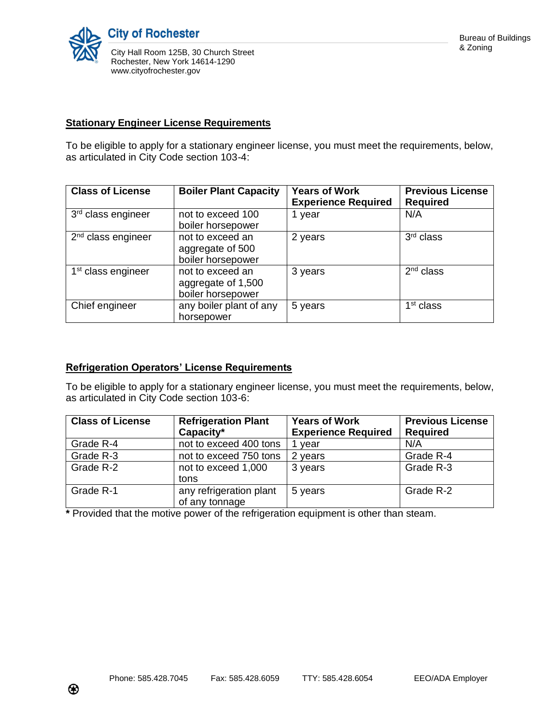

## **Stationary Engineer License Requirements**

To be eligible to apply for a stationary engineer license, you must meet the requirements, below, as articulated in City Code section 103-4:

| <b>Class of License</b>        | <b>Boiler Plant Capacity</b>                                | <b>Years of Work</b><br><b>Experience Required</b> | <b>Previous License</b><br><b>Required</b> |
|--------------------------------|-------------------------------------------------------------|----------------------------------------------------|--------------------------------------------|
| 3rd class engineer             | not to exceed 100<br>boiler horsepower                      | 1 year                                             | N/A                                        |
| $2nd$ class engineer           | not to exceed an<br>aggregate of 500<br>boiler horsepower   | 2 years                                            | 3rd class                                  |
| 1 <sup>st</sup> class engineer | not to exceed an<br>aggregate of 1,500<br>boiler horsepower | 3 years                                            | $2nd$ class                                |
| Chief engineer                 | any boiler plant of any<br>horsepower                       | 5 years                                            | 1 <sup>st</sup> class                      |

## **Refrigeration Operators' License Requirements**

To be eligible to apply for a stationary engineer license, you must meet the requirements, below, as articulated in City Code section 103-6:

| <b>Class of License</b> | <b>Refrigeration Plant</b><br>Capacity*   | <b>Years of Work</b><br><b>Experience Required</b> | <b>Previous License</b><br><b>Required</b> |
|-------------------------|-------------------------------------------|----------------------------------------------------|--------------------------------------------|
| Grade R-4               | not to exceed 400 tons                    | vear                                               | N/A                                        |
| Grade R-3               | not to exceed 750 tons                    | 2 years                                            | Grade R-4                                  |
| Grade R-2               | not to exceed 1,000<br>tons               | 3 years                                            | Grade R-3                                  |
| Grade R-1               | any refrigeration plant<br>of any tonnage | 5 years                                            | Grade R-2                                  |

**\*** Provided that the motive power of the refrigeration equipment is other than steam.